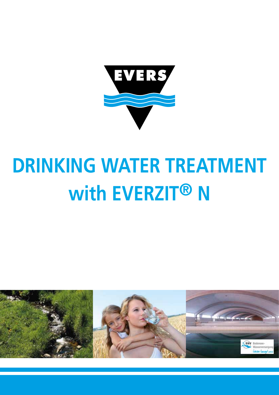

# **DRINKING WATER TREATMENT** with EVERZIT<sup>®</sup> N

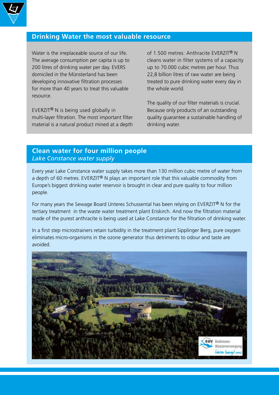

### **Drinking Water the most valuable resource**

Water is the irreplaceable source of our life. The average consumption per capita is up to 200 litres of drinking water per day. EVERS domiciled in the Münsterland has been developing innovative filtration processes for more than 40 years to treat this valuable resource.

EVERZIT® N is being used globally in multi-layer filtration. The most important filter material is a natural product mined at a depth of 1.500 metres: Anthracite EVERZIT® N cleans water in filter systems of a capacity up to 70.000 cubic metres per hour. Thus 22,8 billion litres of raw water are being treated to pure drinking water every day in the whole world.

The quality of our filter materials is crucial. Because only products of an outstanding quality guarantee a sustainable handling of drinking water.

## **Clean water for four million people** *Lake Constance water supply*

Every year Lake Constance water supply takes more than 130 million cubic metre of water from a depth of 60 metres. EVERZIT<sup>®</sup> N plays an important role that this valuable commodity from Europe's biggest drinking water reservoir is brought in clear and pure quality to four million people.

For many years the Sewage Board Unteres Schussental has been relying on EVERZIT<sup>®</sup> N for the tertiary treatment in the waste water treatment plant Eriskirch. And now the filtration material made of the purest anthracite is being used at Lake Constance for the filtration of drinking water.

In a first step microstrainers retain turbidity in the treatment plant Sipplinger Berg, pure oxygen eliminates micro-organisms in the ozone generator thus detriments to odour and taste are avoided.

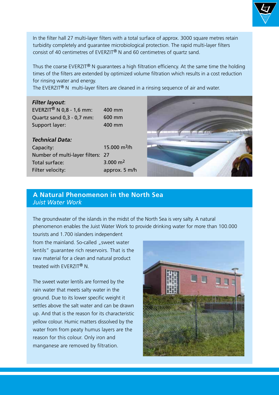

Thus the coarse EVERZIT® N guarantees a high filtration efficiency. At the same time the holding times of the filters are extended by optimized volume filtration which results in a cost reduction for rinsing water and energy.

The EVERZIT<sup>®</sup> N multi-layer filters are cleaned in a rinsing sequence of air and water.

#### *Filter layout*:

EVERZIT<sup>®</sup> N 0,8 - 1,6 mm: Quartz sand 0,3 - 0,7 mm: Support layer:

400 mm 600 mm 400 mm

#### *Technical Data:*

Capacity: Number of multi-layer filters: 27 Total surface: Filter velocity: 15.000 m3/h 3.000 m2 approx. 5 m/h



## **A Natural Phenomenon in the North Sea**  *Juist Water Work*

The groundwater of the islands in the midst of the North Sea is very salty. A natural phenomenon enables the Juist Water Work to provide drinking water for more than 100.000

tourists and 1.700 islanders independent from the mainland. So-called "sweet water lentils" guarantee rich reservoirs. That is the raw material for a clean and natural product treated with EVERZIT® N.

The sweet water lentils are formed by the rain water that meets salty water in the ground. Due to its lower specific weight it settles above the salt water and can be drawn up. And that is the reason for its characteristic yellow colour. Humic matters dissolved by the water from from peaty humus layers are the reason for this colour. Only iron and manganese are removed by filtration.